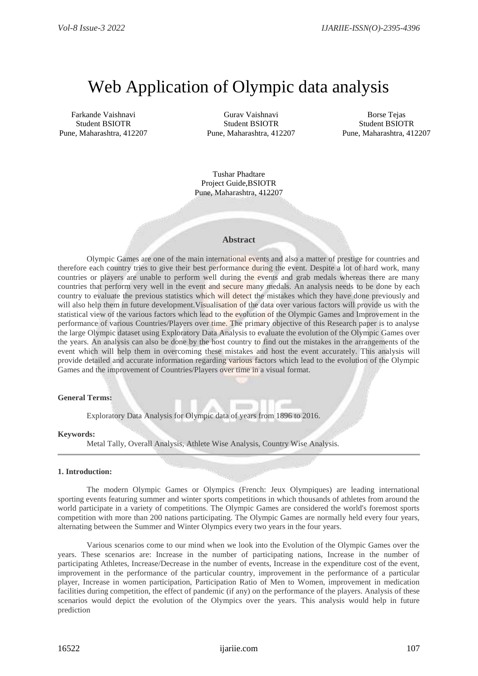# Web Application of Olympic data analysis

Farkande Vaishnavi Student BSIOTR Pune, Maharashtra, 412207

Gurav Vaishnavi Student BSIOTR Pune, Maharashtra, 412207

Borse Tejas Student BSIOTR Pune, Maharashtra, 412207

Tushar Phadtare Project Guide,BSIOTR Pune, Maharashtra, 412207

#### **Abstract**

Olympic Games are one of the main international events and also a matter of prestige for countries and therefore each country tries to give their best performance during the event. Despite a lot of hard work, many countries or players are unable to perform well during the events and grab medals whereas there are many countries that perform very well in the event and secure many medals. An analysis needs to be done by each country to evaluate the previous statistics which will detect the mistakes which they have done previously and will also help them in future development. Visualisation of the data over various factors will provide us with the statistical view of the various factors which lead to the evolution of the Olympic Games and Improvement in the performance of various Countries/Players over time. The primary objective of this Research paper is to analyse the large Olympic dataset using Exploratory Data Analysis to evaluate the evolution of the Olympic Games over the years. An analysis can also be done by the host country to find out the mistakes in the arrangements of the event which will help them in overcoming these mistakes and host the event accurately. This analysis will provide detailed and accurate information regarding various factors which lead to the evolution of the Olympic Games and the improvement of Countries/Players over time in a visual format.

# **General Terms:**

Exploratory Data Analysis for Olympic data of years from 1896 to 2016.

#### **Keywords:**

Metal Tally, Overall Analysis, Athlete Wise Analysis, Country Wise Analysis.

# **1. Introduction:**

 The modern Olympic Games or Olympics (French: Jeux Olympiques) are leading international sporting events featuring summer and winter sports competitions in which thousands of athletes from around the world participate in a variety of competitions. The Olympic Games are considered the world's foremost sports competition with more than 200 nations participating. The Olympic Games are normally held every four years, alternating between the Summer and Winter Olympics every two years in the four years.

Various scenarios come to our mind when we look into the Evolution of the Olympic Games over the years. These scenarios are: Increase in the number of participating nations, Increase in the number of participating Athletes, Increase/Decrease in the number of events, Increase in the expenditure cost of the event, improvement in the performance of the particular country, improvement in the performance of a particular player, Increase in women participation, Participation Ratio of Men to Women, improvement in medication facilities during competition, the effect of pandemic (if any) on the performance of the players. Analysis of these scenarios would depict the evolution of the Olympics over the years. This analysis would help in future prediction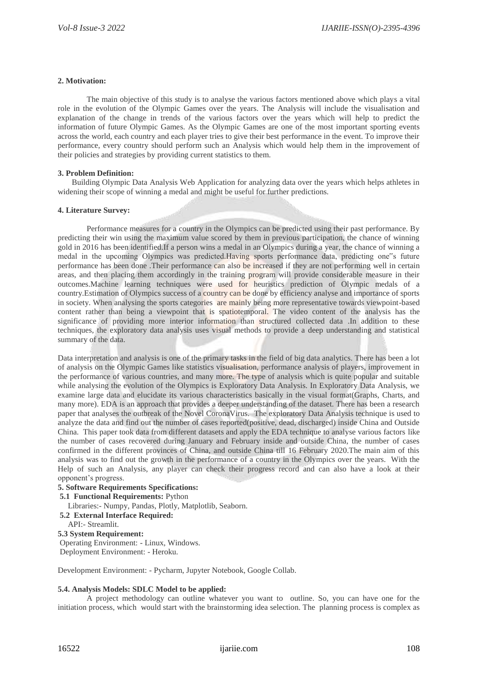# **2. Motivation:**

The main objective of this study is to analyse the various factors mentioned above which plays a vital role in the evolution of the Olympic Games over the years. The Analysis will include the visualisation and explanation of the change in trends of the various factors over the years which will help to predict the information of future Olympic Games. As the Olympic Games are one of the most important sporting events across the world, each country and each player tries to give their best performance in the event. To improve their performance, every country should perform such an Analysis which would help them in the improvement of their policies and strategies by providing current statistics to them.

# **3. Problem Definition:**

 Building Olympic Data Analysis Web Application for analyzing data over the years which helps athletes in widening their scope of winning a medal and might be useful for further predictions.

# **4. Literature Survey:**

Performance measures for a country in the Olympics can be predicted using their past performance. By predicting their win using the maximum value scored by them in previous participation, the chance of winning gold in 2016 has been identified.If a person wins a medal in an Olympics during a year, the chance of winning a medal in the upcoming Olympics was predicted.Having sports performance data, predicting one"s future performance has been done .Their performance can also be increased if they are not performing well in certain areas, and then placing them accordingly in the training program will provide considerable measure in their outcomes.Machine learning techniques were used for heuristics prediction of Olympic medals of a country.Estimation of Olympics success of a country can be done by efficiency analyse and importance of sports in society. When analysing the sports categories are mainly being more representative towards viewpoint-based content rather than being a viewpoint that is spatiotemporal. The video content of the analysis has the significance of providing more interior information than structured collected data. In addition to these techniques, the exploratory data analysis uses visual methods to provide a deep understanding and statistical summary of the data.

Data interpretation and analysis is one of the primary tasks in the field of big data analytics. There has been a lot of analysis on the Olympic Games like statistics visualisation, performance analysis of players, improvement in the performance of various countries, and many more. The type of analysis which is quite popular and suitable while analysing the evolution of the Olympics is Exploratory Data Analysis. In Exploratory Data Analysis, we examine large data and elucidate its various characteristics basically in the visual format(Graphs, Charts, and many more). EDA is an approach that provides a deeper understanding of the dataset. There has been a research paper that analyses the outbreak of the Novel CoronaVirus. The exploratory Data Analysis technique is used to analyze the data and find out the number of cases reported(positive, dead, discharged) inside China and Outside China. This paper took data from different datasets and apply the EDA technique to analyse various factors like the number of cases recovered during January and February inside and outside China, the number of cases confirmed in the different provinces of China, and outside China till 16 February 2020.The main aim of this analysis was to find out the growth in the performance of a country in the Olympics over the years. With the Help of such an Analysis, any player can check their progress record and can also have a look at their opponent's progress.

# **5. Software Requirements Specifications:**

- **5.1 Functional Requirements:** Python
- Libraries:- Numpy, Pandas, Plotly, Matplotlib, Seaborn.
- **5.2 External Interface Required:**

```
 API:- Streamlit.
```
### **5.3 System Requirement:**

Operating Environment: - Linux, Windows. Deployment Environment: - Heroku.

Development Environment: - Pycharm, Jupyter Notebook, Google Collab.

# **5.4. Analysis Models: SDLC Model to be applied:**

A project methodology can outline whatever you want to outline. So, you can have one for the initiation process, which would start with the brainstorming idea selection. The planning process is complex as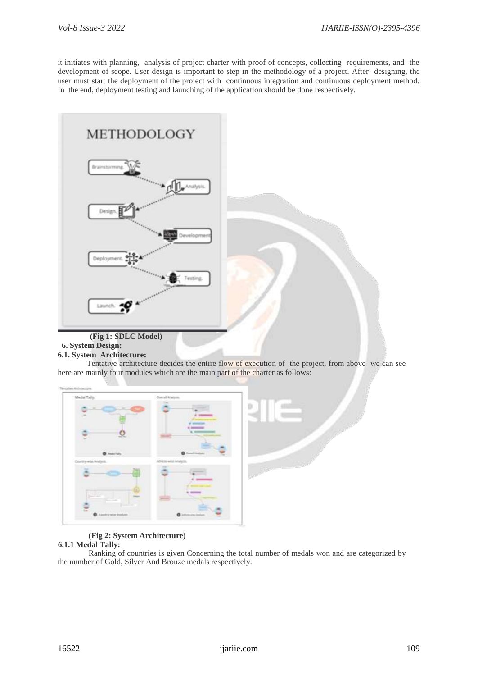it initiates with planning, analysis of project charter with proof of concepts, collecting requirements, and the development of scope. User design is important to step in the methodology of a project. After designing, the user must start the deployment of the project with continuous integration and continuous deployment method. In the end, deployment testing and launching of the application should be done respectively.



#### **6. System Design: 6.1. System Architecture:**

Tentative architecture decides the entire flow of execution of the project. from above we can see here are mainly four modules which are the main part of the charter as follows:

| Medal Tylly.            | Overall Analysis.      |                 |
|-------------------------|------------------------|-----------------|
|                         |                        |                 |
|                         |                        |                 |
|                         |                        |                 |
|                         | $\frac{1}{2}$          |                 |
|                         |                        |                 |
| <b>O</b> meeting        | <b>O</b> demolisation  |                 |
| Country-wide-Analysis.  | Atliens with Analysis. |                 |
| ÷                       | There-                 | <b>Allen</b> de |
|                         |                        |                 |
|                         |                        |                 |
|                         | ≕                      |                 |
| Э                       |                        |                 |
| <b>O</b> medicine bodyo | C information instants |                 |

# **(Fig 2: System Architecture)**

# **6.1.1 Medal Tally:**

Ranking of countries is given Concerning the total number of medals won and are categorized by the number of Gold, Silver And Bronze medals respectively.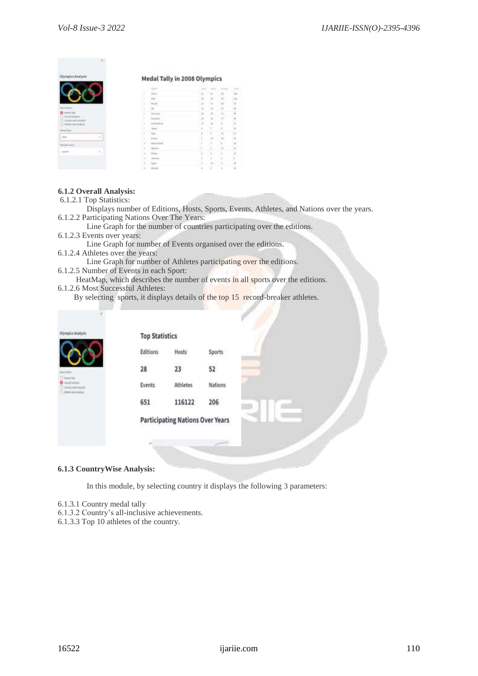| Olympics Analysis                            | <b>Medal Tally in 2008 Olympics</b> |  |  |  |  |  |  |
|----------------------------------------------|-------------------------------------|--|--|--|--|--|--|
|                                              |                                     |  |  |  |  |  |  |
|                                              |                                     |  |  |  |  |  |  |
|                                              |                                     |  |  |  |  |  |  |
|                                              |                                     |  |  |  |  |  |  |
|                                              |                                     |  |  |  |  |  |  |
| 44.54                                        |                                     |  |  |  |  |  |  |
| the set of an announcement of the set of the |                                     |  |  |  |  |  |  |
| for first signature with addressed           |                                     |  |  |  |  |  |  |
|                                              |                                     |  |  |  |  |  |  |
|                                              |                                     |  |  |  |  |  |  |
|                                              |                                     |  |  |  |  |  |  |
|                                              |                                     |  |  |  |  |  |  |
|                                              |                                     |  |  |  |  |  |  |
|                                              |                                     |  |  |  |  |  |  |
|                                              |                                     |  |  |  |  |  |  |
|                                              |                                     |  |  |  |  |  |  |
|                                              |                                     |  |  |  |  |  |  |

# **6.1.2 Overall Analysis:**

- 6.1.2.1 Top Statistics:
- Displays number of Editions, Hosts, Sports, Events, Athletes, and Nations over the years. 6.1.2.2 Participating Nations Over The Years:

 Line Graph for the number of countries participating over the editions. 6.1.2.3 Events over years:

Line Graph for number of Events organised over the editions.

6.1.2.4 Athletes over the years:

Line Graph for number of Athletes participating over the editions.

- 6.1.2.5 Number of Events in each Sport:
- HeatMap, which describes the number of events in all sports over the editions. 6.1.2.6 Most Successful Athletes:

By selecting sports, it displays details of the top 15 record-breaker athletes.

| Olympics Analysis                                                                        | <b>Top Statistics</b> |                                         |         |    |  |  |
|------------------------------------------------------------------------------------------|-----------------------|-----------------------------------------|---------|----|--|--|
|                                                                                          | Editions              | Hosts                                   | Sports  |    |  |  |
| Meltini                                                                                  | 28                    | 23                                      | 52      |    |  |  |
| <b>Chemister</b><br><b>O</b> meetings<br>Construction Interest<br>3. Athlet who holigits | <b>Events</b>         | Athletes                                | Nations |    |  |  |
|                                                                                          | 651                   | 116122                                  | 206     | T. |  |  |
|                                                                                          |                       | <b>Participating Nations Over Years</b> |         |    |  |  |
|                                                                                          |                       |                                         |         |    |  |  |
|                                                                                          |                       |                                         |         |    |  |  |

# **6.1.3 CountryWise Analysis:**

In this module, by selecting country it displays the following 3 parameters:

- 6.1.3.1 Country medal tally
- 6.1.3.2 Country's all-inclusive achievements.
- 6.1.3.3 Top 10 athletes of the country.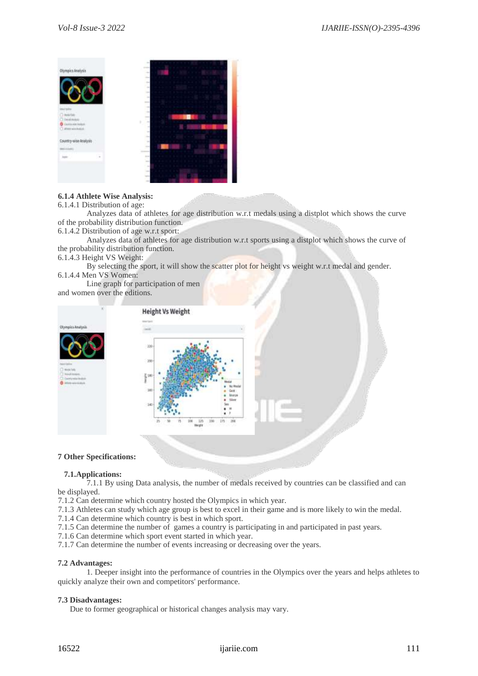

# **6.1.4 Athlete Wise Analysis:**

### 6.1.4.1 Distribution of age:

Analyzes data of athletes for age distribution w.r.t medals using a distplot which shows the curve of the probability distribution function.

6.1.4.2 Distribution of age w.r.t sport:

Analyzes data of athletes for age distribution w.r.t sports using a distplot which shows the curve of the probability distribution function.

6.1.4.3 Height VS Weight:

By selecting the sport, it will show the scatter plot for height vs weight w.r.t medal and gender. 6.1.4.4 Men VS Women:

Line graph for participation of men and women over the editions.



# **7 Other Specifications:**

# **7.1.Applications:**

7.1.1 By using Data analysis, the number of medals received by countries can be classified and can be displayed.

7.1.2 Can determine which country hosted the Olympics in which year.

7.1.3 Athletes can study which age group is best to excel in their game and is more likely to win the medal.

7.1.4 Can determine which country is best in which sport.

7.1.5 Can determine the number of games a country is participating in and participated in past years.

7.1.6 Can determine which sport event started in which year.

7.1.7 Can determine the number of events increasing or decreasing over the years.

# **7.2 Advantages:**

1. Deeper insight into the performance of countries in the Olympics over the years and helps athletes to quickly analyze their own and competitors' performance.

# **7.3 Disadvantages:**

Due to former geographical or historical changes analysis may vary.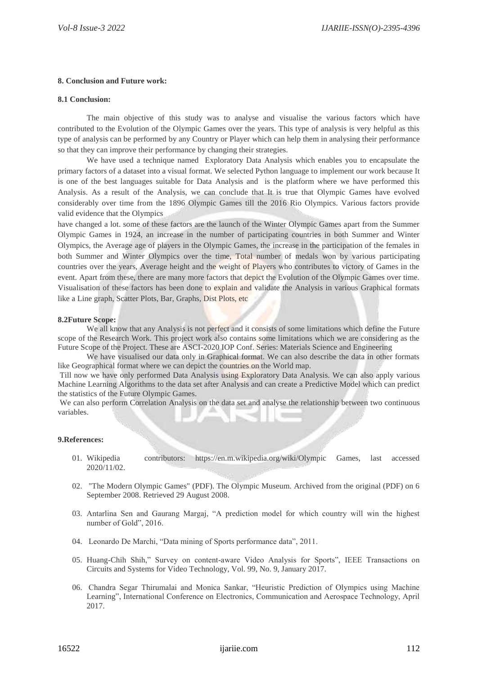# **8. Conclusion and Future work:**

## **8.1 Conclusion:**

The main objective of this study was to analyse and visualise the various factors which have contributed to the Evolution of the Olympic Games over the years. This type of analysis is very helpful as this type of analysis can be performed by any Country or Player which can help them in analysing their performance so that they can improve their performance by changing their strategies.

We have used a technique named Exploratory Data Analysis which enables you to encapsulate the primary factors of a dataset into a visual format. We selected Python language to implement our work because It is one of the best languages suitable for Data Analysis and is the platform where we have performed this Analysis. As a result of the Analysis, we can conclude that It is true that Olympic Games have evolved considerably over time from the 1896 Olympic Games till the 2016 Rio Olympics. Various factors provide valid evidence that the Olympics

have changed a lot. some of these factors are the launch of the Winter Olympic Games apart from the Summer Olympic Games in 1924, an increase in the number of participating countries in both Summer and Winter Olympics, the Average age of players in the Olympic Games, the increase in the participation of the females in both Summer and Winter Olympics over the time, Total number of medals won by various participating countries over the years, Average height and the weight of Players who contributes to victory of Games in the event. Apart from these, there are many more factors that depict the Evolution of the Olympic Games over time. Visualisation of these factors has been done to explain and validate the Analysis in various Graphical formats like a Line graph, Scatter Plots, Bar, Graphs, Dist Plots, etc

# **8.2Future Scope:**

We all know that any Analysis is not perfect and it consists of some limitations which define the Future scope of the Research Work. This project work also contains some limitations which we are considering as the Future Scope of the Project. These are ASCI-2020 IOP Conf. Series: Materials Science and Engineering

We have visualised our data only in Graphical format. We can also describe the data in other formats like Geographical format where we can depict the countries on the World map.

Till now we have only performed Data Analysis using Exploratory Data Analysis. We can also apply various Machine Learning Algorithms to the data set after Analysis and can create a Predictive Model which can predict the statistics of the Future Olympic Games.

We can also perform Correlation Analysis on the data set and analyse the relationship between two continuous variables.

# **9.References:**

- 01. Wikipedia contributors: https://en.m.wikipedia.org/wiki/Olympic Games, last accessed 2020/11/02.
- 02. "The Modern Olympic Games" (PDF). The Olympic Museum. Archived from the original (PDF) on 6 September 2008. Retrieved 29 August 2008.
- 03. Antarlina Sen and Gaurang Margaj, "A prediction model for which country will win the highest number of Gold", 2016.
- 04. Leonardo De Marchi, "Data mining of Sports performance data", 2011.
- 05. Huang-Chih Shih," Survey on content-aware Video Analysis for Sports", IEEE Transactions on Circuits and Systems for Video Technology, Vol. 99, No. 9, January 2017.
- 06. Chandra Segar Thirumalai and Monica Sankar, "Heuristic Prediction of Olympics using Machine Learning", International Conference on Electronics, Communication and Aerospace Technology, April 2017.